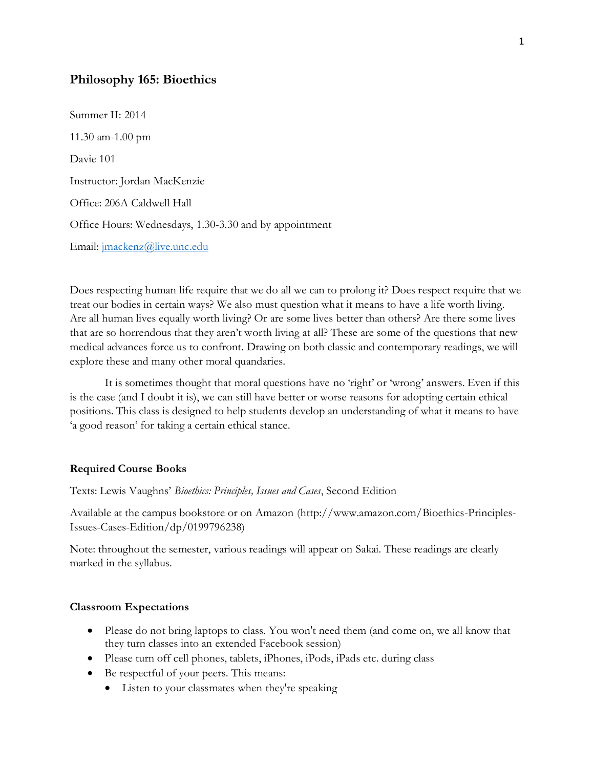# **Philosophy 165: Bioethics**

Summer II: 2014 11.30 am-1.00 pm Davie 101 Instructor: Jordan MacKenzie Office: 206A Caldwell Hall Office Hours: Wednesdays, 1.30-3.30 and by appointment Email: [jmackenz@live.unc.edu](mailto:jmackenz@live.unc.edu)

Does respecting human life require that we do all we can to prolong it? Does respect require that we treat our bodies in certain ways? We also must question what it means to have a life worth living. Are all human lives equally worth living? Or are some lives better than others? Are there some lives that are so horrendous that they aren't worth living at all? These are some of the questions that new medical advances force us to confront. Drawing on both classic and contemporary readings, we will explore these and many other moral quandaries.

It is sometimes thought that moral questions have no 'right' or 'wrong' answers. Even if this is the case (and I doubt it is), we can still have better or worse reasons for adopting certain ethical positions. This class is designed to help students develop an understanding of what it means to have 'a good reason' for taking a certain ethical stance.

#### **Required Course Books**

Texts: Lewis Vaughns' *Bioethics: Principles, Issues and Cases*, Second Edition

Available at the campus bookstore or on Amazon (http://www.amazon.com/Bioethics-Principles-Issues-Cases-Edition/dp/0199796238)

Note: throughout the semester, various readings will appear on Sakai. These readings are clearly marked in the syllabus.

#### **Classroom Expectations**

- Please do not bring laptops to class. You won't need them (and come on, we all know that they turn classes into an extended Facebook session)
- Please turn off cell phones, tablets, iPhones, iPods, iPads etc. during class
- Be respectful of your peers. This means:
	- Listen to your classmates when they're speaking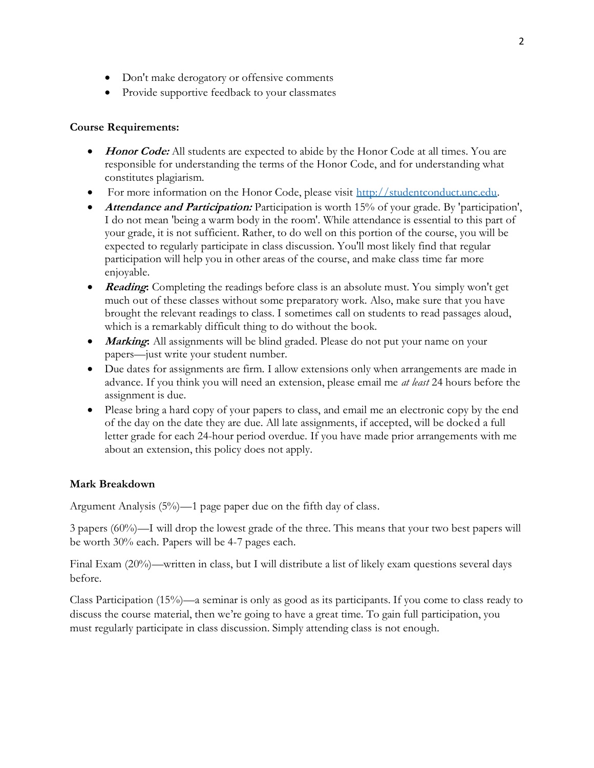- Don't make derogatory or offensive comments
- Provide supportive feedback to your classmates

## **Course Requirements:**

- **Honor Code:** All students are expected to abide by the Honor Code at all times. You are responsible for understanding the terms of the Honor Code, and for understanding what constitutes plagiarism.
- For more information on the Honor Code, please visit [http://studentconduct.unc.edu.](http://studentconduct.unc.edu/)
- **Attendance and Participation:** Participation is worth 15% of your grade. By 'participation', I do not mean 'being a warm body in the room'. While attendance is essential to this part of your grade, it is not sufficient. Rather, to do well on this portion of the course, you will be expected to regularly participate in class discussion. You'll most likely find that regular participation will help you in other areas of the course, and make class time far more enjoyable.
- **Reading:** Completing the readings before class is an absolute must. You simply won't get much out of these classes without some preparatory work. Also, make sure that you have brought the relevant readings to class. I sometimes call on students to read passages aloud, which is a remarkably difficult thing to do without the book.
- *Marking*: All assignments will be blind graded. Please do not put your name on your papers—just write your student number.
- Due dates for assignments are firm. I allow extensions only when arrangements are made in advance. If you think you will need an extension, please email me *at least* 24 hours before the assignment is due.
- Please bring a hard copy of your papers to class, and email me an electronic copy by the end of the day on the date they are due. All late assignments, if accepted, will be docked a full letter grade for each 24-hour period overdue. If you have made prior arrangements with me about an extension, this policy does not apply.

## **Mark Breakdown**

Argument Analysis (5%)—1 page paper due on the fifth day of class.

3 papers (60%)—I will drop the lowest grade of the three. This means that your two best papers will be worth 30% each. Papers will be 4-7 pages each.

Final Exam (20%)—written in class, but I will distribute a list of likely exam questions several days before.

Class Participation (15%)—a seminar is only as good as its participants. If you come to class ready to discuss the course material, then we're going to have a great time. To gain full participation, you must regularly participate in class discussion. Simply attending class is not enough.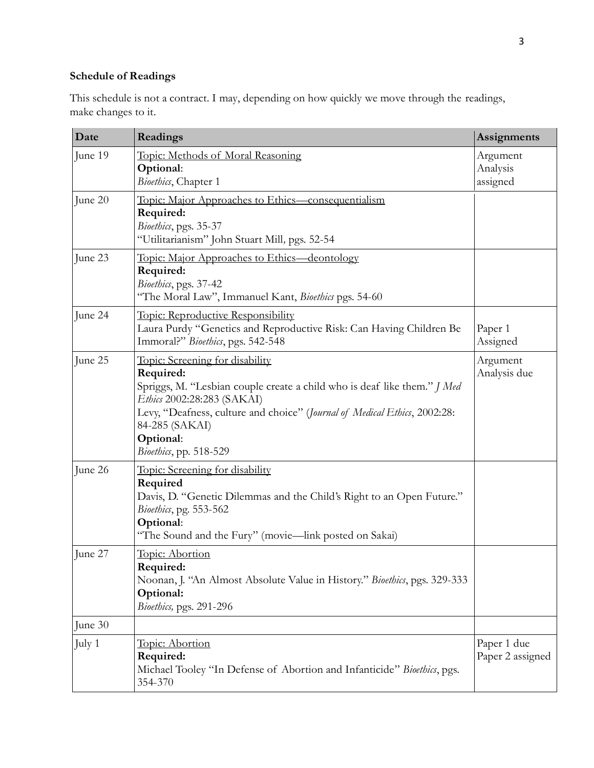# **Schedule of Readings**

This schedule is not a contract. I may, depending on how quickly we move through the readings, make changes to it.

| Date    | Readings                                                                                                                                                                                                                                                                                     | <b>Assignments</b>               |
|---------|----------------------------------------------------------------------------------------------------------------------------------------------------------------------------------------------------------------------------------------------------------------------------------------------|----------------------------------|
| June 19 | Topic: Methods of Moral Reasoning<br>Optional:<br>Bioethics, Chapter 1                                                                                                                                                                                                                       | Argument<br>Analysis<br>assigned |
| June 20 | Topic: Major Approaches to Ethics—consequentialism<br>Required:<br>Bioethics, pgs. 35-37<br>"Utilitarianism" John Stuart Mill, pgs. 52-54                                                                                                                                                    |                                  |
| June 23 | Topic: Major Approaches to Ethics—deontology<br>Required:<br>Bioethics, pgs. 37-42<br>"The Moral Law", Immanuel Kant, Bioethics pgs. 54-60                                                                                                                                                   |                                  |
| June 24 | <u><b>Topic: Reproductive Responsibility</b></u><br>Laura Purdy "Genetics and Reproductive Risk: Can Having Children Be<br>Immoral?" Bioethics, pgs. 542-548                                                                                                                                 | Paper 1<br>Assigned              |
| June 25 | Topic: Screening for disability<br>Required:<br>Spriggs, M. "Lesbian couple create a child who is deaf like them." J Med<br>Ethics 2002:28:283 (SAKAI)<br>Levy, "Deafness, culture and choice" (Journal of Medical Ethics, 2002:28:<br>84-285 (SAKAI)<br>Optional:<br>Bioethics, pp. 518-529 | Argument<br>Analysis due         |
| June 26 | Topic: Screening for disability<br>Required<br>Davis, D. "Genetic Dilemmas and the Child's Right to an Open Future."<br>Bioethics, pg. 553-562<br>Optional:<br>"The Sound and the Fury" (movie—link posted on Sakai)                                                                         |                                  |
| June 27 | Topic: Abortion<br>Required:<br>Noonan, J. "An Almost Absolute Value in History." Bioethics, pgs. 329-333<br>Optional:<br>Bioethics, pgs. 291-296                                                                                                                                            |                                  |
| June 30 |                                                                                                                                                                                                                                                                                              |                                  |
| July 1  | Topic: Abortion<br>Required:<br>Michael Tooley "In Defense of Abortion and Infanticide" Bioethics, pgs.<br>354-370                                                                                                                                                                           | Paper 1 due<br>Paper 2 assigned  |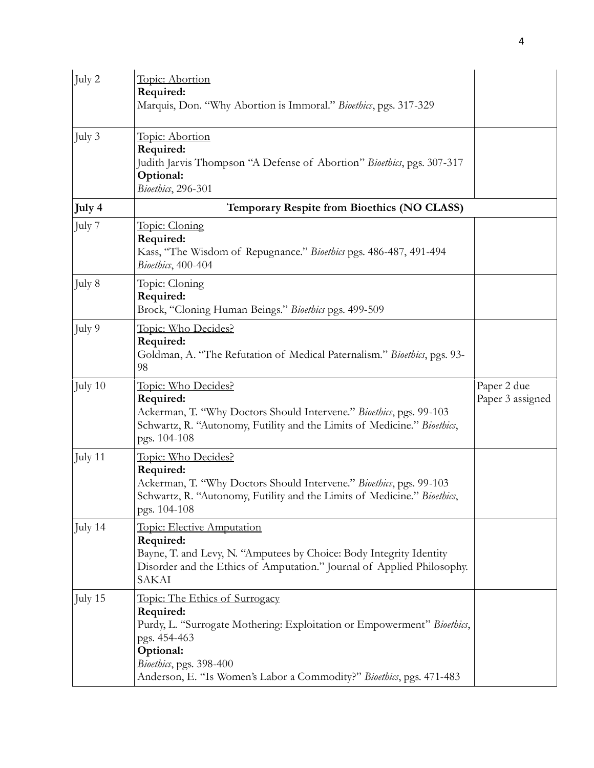| July 2   | Topic: Abortion<br>Required:<br>Marquis, Don. "Why Abortion is Immoral." Bioethics, pgs. 317-329                                                                                                                                                              |                                 |
|----------|---------------------------------------------------------------------------------------------------------------------------------------------------------------------------------------------------------------------------------------------------------------|---------------------------------|
| July $3$ | <u>Topic: Abortion</u><br>Required:<br>Judith Jarvis Thompson "A Defense of Abortion" Bioethics, pgs. 307-317<br>Optional:<br>Bioethics, 296-301                                                                                                              |                                 |
| July 4   | Temporary Respite from Bioethics (NO CLASS)                                                                                                                                                                                                                   |                                 |
| July 7   | Topic: Cloning<br>Required:<br>Kass, "The Wisdom of Repugnance." Bioethics pgs. 486-487, 491-494<br>Bioethics, 400-404                                                                                                                                        |                                 |
| July 8   | Topic: Cloning<br>Required:<br>Brock, "Cloning Human Beings." Bioethics pgs. 499-509                                                                                                                                                                          |                                 |
| July 9   | <u> Topic: Who Decides?</u><br>Required:<br>Goldman, A. "The Refutation of Medical Paternalism." Bioethics, pgs. 93-<br>98                                                                                                                                    |                                 |
| July 10  | <u>Topic: Who Decides?</u><br>Required:<br>Ackerman, T. "Why Doctors Should Intervene." Bioethics, pgs. 99-103<br>Schwartz, R. "Autonomy, Futility and the Limits of Medicine." Bioethics,<br>pgs. 104-108                                                    | Paper 2 due<br>Paper 3 assigned |
| July 11  | <u> Topic: Who Decides?</u><br>Required:<br>Ackerman, T. "Why Doctors Should Intervene." Bioethics, pgs. 99-103<br>Schwartz, R. "Autonomy, Futility and the Limits of Medicine." Bioethics,<br>pgs. 104-108                                                   |                                 |
| July 14  | Topic: Elective Amputation<br>Required:<br>Bayne, T. and Levy, N. "Amputees by Choice: Body Integrity Identity<br>Disorder and the Ethics of Amputation." Journal of Applied Philosophy.<br><b>SAKAI</b>                                                      |                                 |
| July 15  | <u>Topic: The Ethics of Surrogacy</u><br>Required:<br>Purdy, L. "Surrogate Mothering: Exploitation or Empowerment" Bioethics,<br>pgs. 454-463<br>Optional:<br>Bioethics, pgs. 398-400<br>Anderson, E. "Is Women's Labor a Commodity?" Bioethics, pgs. 471-483 |                                 |